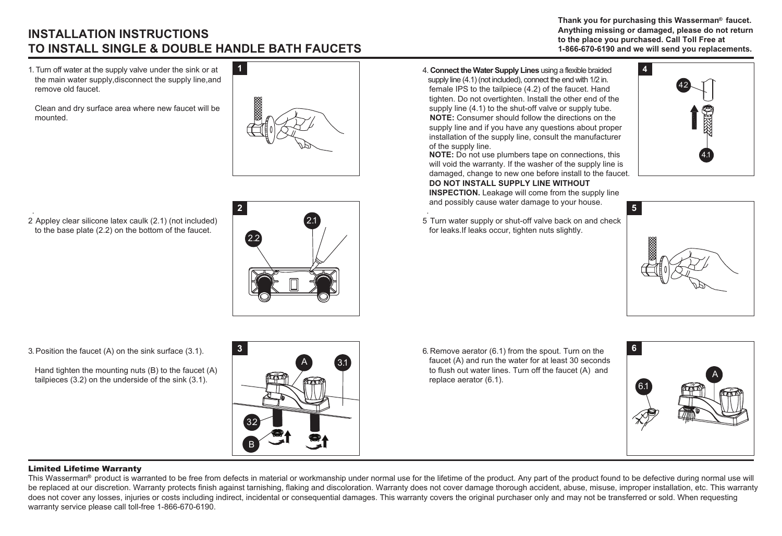## **INSTALLATION INSTRUCTIONS TO INSTALL SINGLE & DOUBLE HANDLE BATH FAUCETS**

1. Turn off water at the supply valve under the sink or at the main water supply,disconnect the supply line,and remove old faucet.

 Clean and dry surface area where new faucet will be mounted.



2 Appley clear silicone latex caulk (2.1) (not included) . to the base plate (2.2) on the bottom of the faucet.



4. **Connect the Water Supply Lines** using a flexible braided supply line (4.1) (not included), connect the end with 1/2 in. female IPS to the tailpiece (4.2) of the faucet. Hand tighten. Do not overtighten. Install the other end of the supply line (4.1) to the shut-off valve or supply tube. **NOTE:** Consumer should follow the directions on the supply line and if you have any questions about proper installation of the supply line, consult the manufacturer of the supply line.

**NOTE:** Do not use plumbers tape on connections, this will void the warranty. If the washer of the supply line is damaged, change to new one before install to the faucet.  **DO NOT INSTALL SUPPLY LINE WITHOUT**

**INSPECTION.** Leakage will come from the supply line and possibly cause water damage to your house. .

 5 Turn water supply or shut-off valve back on and check for leaks. If leaks occur, tighten nuts slightly.



Thank you for purchasing this Wasserman<sup>®</sup> faucet.  **Anything missing or damaged, please do not return to the place you purchased. Call Toll Free at 1-866-670-6190 and we will send you replacements.**



3.Position the faucet (A) on the sink surface (3.1).

 Hand tighten the mounting nuts (B) to the faucet (A) tailpieces (3.2) on the underside of the sink (3.1).



6. Remove aerator (6.1) from the spout. Turn on the faucet (A) and run the water for at least 30 seconds to flush out water lines. Turn off the faucet (A) and replace aerator (6.1).



## Limited Lifetime Warranty

This Wasserman® product is warranted to be free from defects in material or workmanship under normal use for the lifetime of the product. Any part of the product found to be defective during normal use will be replaced at our discretion. Warranty protects finish against tarnishing, flaking and discoloration. Warranty does not cover damage thorough accident, abuse, misuse, improper installation, etc. This warranty does not cover any losses, injuries or costs including indirect, incidental or consequential damages. This warranty covers the original purchaser only and may not be transferred or sold. When requesting warranty service please call toll-free 1-866-670-6190.